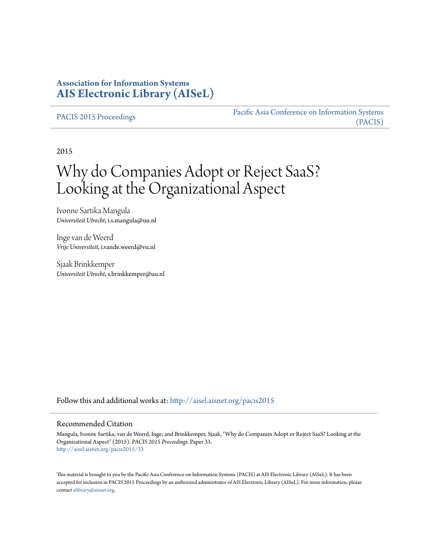## **Association for Information Systems [AIS Electronic Library \(AISeL\)](http://aisel.aisnet.org?utm_source=aisel.aisnet.org%2Fpacis2015%2F33&utm_medium=PDF&utm_campaign=PDFCoverPages)**

[PACIS 2015 Proceedings](http://aisel.aisnet.org/pacis2015?utm_source=aisel.aisnet.org%2Fpacis2015%2F33&utm_medium=PDF&utm_campaign=PDFCoverPages)

[Pacific Asia Conference on Information Systems](http://aisel.aisnet.org/pacis?utm_source=aisel.aisnet.org%2Fpacis2015%2F33&utm_medium=PDF&utm_campaign=PDFCoverPages) [\(PACIS\)](http://aisel.aisnet.org/pacis?utm_source=aisel.aisnet.org%2Fpacis2015%2F33&utm_medium=PDF&utm_campaign=PDFCoverPages)

2015

# Why do Companies Adopt or Reject SaaS? Looking at the Organizational Aspect

Ivonne Sartika Mangula *Universiteit Utrecht*, i.s.mangula@uu.nl

Inge van de Weerd *Vrije Universiteit*, i.vande.weerd@vu.nl

Sjaak Brinkkemper *Universiteit Utrecht*, s.brinkkemper@uu.nl

Follow this and additional works at: [http://aisel.aisnet.org/pacis2015](http://aisel.aisnet.org/pacis2015?utm_source=aisel.aisnet.org%2Fpacis2015%2F33&utm_medium=PDF&utm_campaign=PDFCoverPages)

#### Recommended Citation

Mangula, Ivonne Sartika; van de Weerd, Inge; and Brinkkemper, Sjaak, "Why do Companies Adopt or Reject SaaS? Looking at the Organizational Aspect" (2015). *PACIS 2015 Proceedings.* Paper 33. [http://aisel.aisnet.org/pacis2015/33](http://aisel.aisnet.org/pacis2015/33?utm_source=aisel.aisnet.org%2Fpacis2015%2F33&utm_medium=PDF&utm_campaign=PDFCoverPages)

This material is brought to you by the Pacific Asia Conference on Information Systems (PACIS) at AIS Electronic Library (AISeL). It has been accepted for inclusion in PACIS 2015 Proceedings by an authorized administrator of AIS Electronic Library (AISeL). For more information, please contact [elibrary@aisnet.org.](mailto:elibrary@aisnet.org%3E)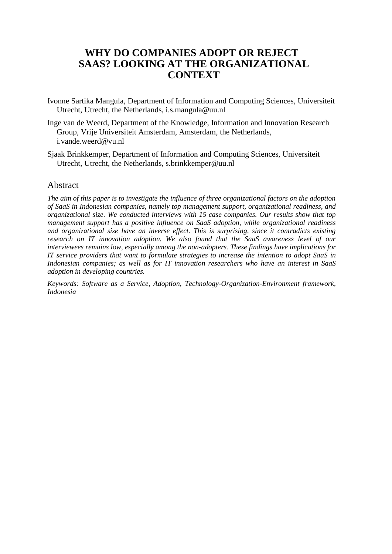## **WHY DO COMPANIES ADOPT OR REJECT SAAS? LOOKING AT THE ORGANIZATIONAL CONTEXT**

- Ivonne Sartika Mangula, Department of Information and Computing Sciences, Universiteit Utrecht, Utrecht, the Netherlands, i.s.mangula@uu.nl
- Inge van de Weerd, Department of the Knowledge, Information and Innovation Research Group, Vrije Universiteit Amsterdam, Amsterdam, the Netherlands, i.vande.weerd@vu.nl
- Sjaak Brinkkemper, Department of Information and Computing Sciences, Universiteit Utrecht, Utrecht, the Netherlands, s.brinkkemper@uu.nl

#### Abstract

*The aim of this paper is to investigate the influence of three organizational factors on the adoption of SaaS in Indonesian companies, namely top management support, organizational readiness, and organizational size. We conducted interviews with 15 case companies. Our results show that top management support has a positive influence on SaaS adoption, while organizational readiness and organizational size have an inverse effect. This is surprising, since it contradicts existing research on IT innovation adoption. We also found that the SaaS awareness level of our interviewees remains low, especially among the non-adopters. These findings have implications for IT service providers that want to formulate strategies to increase the intention to adopt SaaS in Indonesian companies; as well as for IT innovation researchers who have an interest in SaaS adoption in developing countries.* 

*Keywords: Software as a Service, Adoption, Technology-Organization-Environment framework, Indonesia*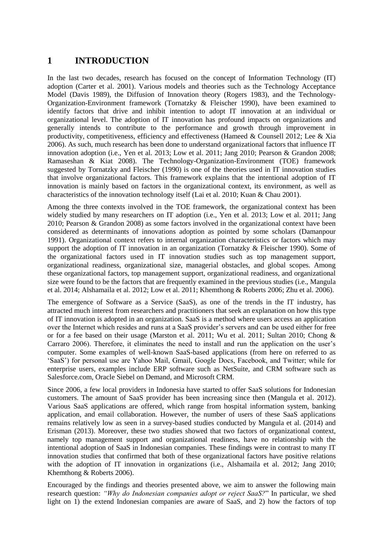## **1 INTRODUCTION**

In the last two decades, research has focused on the concept of Information Technology (IT) adoption (Carter et al. 2001). Various models and theories such as the Technology Acceptance Model (Davis 1989), the Diffusion of Innovation theory (Rogers 1983), and the Technology-Organization-Environment framework (Tornatzky & Fleischer 1990), have been examined to identify factors that drive and inhibit intention to adopt IT innovation at an individual or organizational level. The adoption of IT innovation has profound impacts on organizations and generally intends to contribute to the performance and growth through improvement in productivity, competitiveness, efficiency and effectiveness (Hameed & Counsell 2012; Lee & Xia 2006). As such, much research has been done to understand organizational factors that influence IT innovation adoption (i.e., Yen et al. 2013; Low et al. 2011; Jang 2010; Pearson & Grandon 2008; Ramaseshan & Kiat 2008). The Technology-Organization-Environment (TOE) framework suggested by Tornatzky and Fleischer (1990) is one of the theories used in IT innovation studies that involve organizational factors. This framework explains that the intentional adoption of IT innovation is mainly based on factors in the organizational context, its environment, as well as characteristics of the innovation technology itself (Lai et al. 2010; Kuan & Chau 2001).

Among the three contexts involved in the TOE framework, the organizational context has been widely studied by many researchers on IT adoption (i.e., Yen et al. 2013; Low et al. 2011; Jang 2010; Pearson & Grandon 2008) as some factors involved in the organizational context have been considered as determinants of innovations adoption as pointed by some scholars (Damanpour 1991). Organizational context refers to internal organization characteristics or factors which may support the adoption of IT innovation in an organization (Tornatzky & Fleischer 1990). Some of the organizational factors used in IT innovation studies such as top management support, organizational readiness, organizational size, managerial obstacles, and global scopes. Among these organizational factors, top management support, organizational readiness, and organizational size were found to be the factors that are frequently examined in the previous studies (i.e., Mangula et al. 2014; Alshamaila et al. 2012; Low et al. 2011; Khemthong & Roberts 2006; Zhu et al. 2006).

The emergence of Software as a Service (SaaS), as one of the trends in the IT industry, has attracted much interest from researchers and practitioners that seek an explanation on how this type of IT innovation is adopted in an organization. SaaS is a method where users access an application over the Internet which resides and runs at a SaaS provider's servers and can be used either for free or for a fee based on their usage (Marston et al. 2011; Wu et al. 2011; Sultan 2010; Chong & Carraro 2006). Therefore, it eliminates the need to install and run the application on the user's computer. Some examples of well-known SaaS-based applications (from here on referred to as 'SaaS') for personal use are Yahoo Mail, Gmail, Google Docs, Facebook, and Twitter; while for enterprise users, examples include ERP software such as NetSuite, and CRM software such as Salesforce.com, Oracle Siebel on Demand, and Microsoft CRM.

Since 2006, a few local providers in Indonesia have started to offer SaaS solutions for Indonesian customers. The amount of SaaS provider has been increasing since then (Mangula et al. 2012). Various SaaS applications are offered, which range from hospital information system, banking application, and email collaboration. However, the number of users of these SaaS applications remains relatively low as seen in a survey-based studies conducted by Mangula et al. (2014) and Erisman (2013). Moreover, these two studies showed that two factors of organizational context, namely top management support and organizational readiness, have no relationship with the intentional adoption of SaaS in Indonesian companies. These findings were in contrast to many IT innovation studies that confirmed that both of these organizational factors have positive relations with the adoption of IT innovation in organizations (i.e., Alshamaila et al. 2012; Jang 2010; Khemthong & Roberts 2006).

Encouraged by the findings and theories presented above, we aim to answer the following main research question: *"Why do Indonesian companies adopt or reject SaaS?*" In particular, we shed light on 1) the extend Indonesian companies are aware of SaaS, and 2) how the factors of top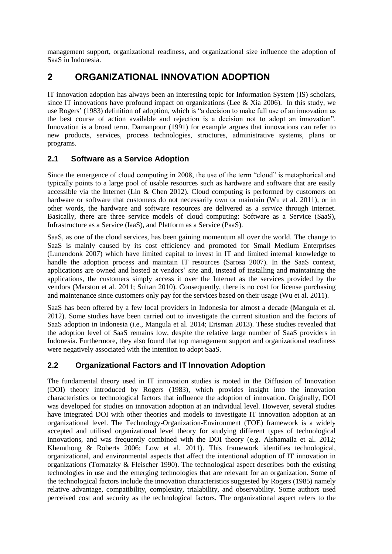management support, organizational readiness, and organizational size influence the adoption of SaaS in Indonesia.

## **2 ORGANIZATIONAL INNOVATION ADOPTION**

IT innovation adoption has always been an interesting topic for Information System (IS) scholars, since IT innovations have profound impact on organizations (Lee & Xia 2006). In this study, we use Rogers' (1983) definition of adoption, which is "a decision to make full use of an innovation as the best course of action available and rejection is a decision not to adopt an innovation". Innovation is a broad term. Damanpour (1991) for example argues that innovations can refer to new products, services, process technologies, structures, administrative systems, plans or programs.

#### **2.1 Software as a Service Adoption**

Since the emergence of cloud computing in 2008, the use of the term "cloud" is metaphorical and typically points to a large pool of usable resources such as hardware and software that are easily accessible via the Internet (Lin & Chen 2012). Cloud computing is performed by customers on hardware or software that customers do not necessarily own or maintain (Wu et al. 2011), or in other words, the hardware and software resources are delivered as a *service* through Internet. Basically, there are three service models of cloud computing: Software as a Service (SaaS), Infrastructure as a Service (IaaS), and Platform as a Service (PaaS).

SaaS, as one of the cloud services, has been gaining momentum all over the world. The change to SaaS is mainly caused by its cost efficiency and promoted for Small Medium Enterprises (Lunendonk 2007) which have limited capital to invest in IT and limited internal knowledge to handle the adoption process and maintain IT resources (Sarosa 2007). In the SaaS context, applications are owned and hosted at vendors' site and, instead of installing and maintaining the applications, the customers simply access it over the Internet as the services provided by the vendors (Marston et al. 2011; Sultan 2010). Consequently, there is no cost for license purchasing and maintenance since customers only pay for the services based on their usage (Wu et al. 2011).

SaaS has been offered by a few local providers in Indonesia for almost a decade (Mangula et al. 2012). Some studies have been carried out to investigate the current situation and the factors of SaaS adoption in Indonesia (i.e., Mangula et al. 2014; Erisman 2013). These studies revealed that the adoption level of SaaS remains low, despite the relative large number of SaaS providers in Indonesia. Furthermore, they also found that top management support and organizational readiness were negatively associated with the intention to adopt SaaS.

### **2.2 Organizational Factors and IT Innovation Adoption**

The fundamental theory used in IT innovation studies is rooted in the Diffusion of Innovation (DOI) theory introduced by Rogers (1983), which provides insight into the innovation characteristics or technological factors that influence the adoption of innovation. Originally, DOI was developed for studies on innovation adoption at an individual level. However, several studies have integrated DOI with other theories and models to investigate IT innovation adoption at an organizational level. The Technology-Organization-Environment (TOE) framework is a widely accepted and utilised organizational level theory for studying different types of technological innovations, and was frequently combined with the DOI theory (e.g. Alshamaila et al. 2012; Khemthong & Roberts 2006; Low et al. 2011). This framework identifies technological, organizational, and environmental aspects that affect the intentional adoption of IT innovation in organizations (Tornatzky & Fleischer 1990). The technological aspect describes both the existing technologies in use and the emerging technologies that are relevant for an organization. Some of the technological factors include the innovation characteristics suggested by Rogers (1985) namely relative advantage, compatibility, complexity, trialability, and observability. Some authors used perceived cost and security as the technological factors. The organizational aspect refers to the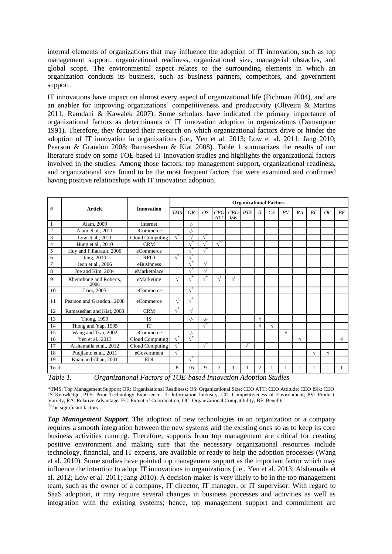internal elements of organizations that may influence the adoption of IT innovation, such as top management support, organizational readiness, organizational size, managerial obstacles, and global scope. The environmental aspect relates to the surrounding elements in which an organization conducts its business, such as business partners, competitors, and government support.

IT innovations have impact on almost every aspect of organizational life (Fichman 2004), and are an enabler for improving organizations' competitiveness and productivity (Oliveira & Martins 2011; Ramdani & Kawalek 2007). Some scholars have indicated the primary importance of organizational factors as determinants of IT innovation adoption in organizations (Damanpour 1991). Therefore, they focused their research on which organizational factors drive or hinder the adoption of IT innovation in organizations (i.e., Yen et al. 2013; Low et al. 2011; Jang 2010; Pearson & Grandon 2008; Ramaseshan & Kiat 2008). Table 1 summarizes the results of our literature study on some TOE-based IT innovation studies and highlights the organizational factors involved in the studies. Among those factors, top management support, organizational readiness, and organizational size found to be the most frequent factors that were examined and confirmed having positive relationships with IT innovation adoption.

| #              |                                | <b>Innovation</b> | <b>Organizational Factors</b> |              |            |                          |                   |            |         |           |    |    |    |    |            |
|----------------|--------------------------------|-------------------|-------------------------------|--------------|------------|--------------------------|-------------------|------------|---------|-----------|----|----|----|----|------------|
|                | <b>Article</b>                 |                   | <b>TMS</b>                    | <b>OR</b>    | <i>OS</i>  | <b>CEO</b><br><b>ATT</b> | CEO<br><b>ISK</b> | <b>PTE</b> | $_{II}$ | CE        | PV | RA | EC | OC | BF         |
| -1             | Alam, 2009                     | Internet          |                               | $\sqrt{ }$   |            |                          |                   |            |         |           |    |    |    |    |            |
| $\overline{2}$ | Alam et al., 2011              | eCommerce         |                               | $\sqrt{ }$   |            |                          |                   |            |         |           |    |    |    |    |            |
| 3              | Low et al., 2011               | Cloud Computing   | $\sqrt{ }$                    |              | $\sqrt{ }$ |                          |                   |            |         |           |    |    |    |    |            |
| 4              | Hung et al., 2010              | <b>CRM</b>        |                               | $\sqrt{ }$   | $\sqrt{ }$ | $\sqrt{ }$               |                   |            |         |           |    |    |    |    |            |
| 5              | Huy and Filiatrault, 2006      | eCommerce         |                               | $\sqrt{ }$   | $\sqrt{ }$ |                          |                   |            |         |           |    |    |    |    |            |
| 6              | Jang, 2010                     | <b>RFID</b>       | $\sqrt{ }$                    | $\sqrt{ }$   |            |                          |                   |            |         |           |    |    |    |    |            |
| $\overline{7}$ | Jeon et al., 2006              | eBusinness        |                               | $\sqrt{ }$   | V          |                          |                   |            |         |           |    |    |    |    |            |
| 8              | Joe and Kim, 2004              | eMarketplace      |                               | $\sqrt{ }$   |            |                          |                   |            |         |           |    |    |    |    |            |
| 9              | Khemthong and Roberts,<br>2006 | eMarketing        | $\sqrt{ }$                    | $\sqrt{ }$   | $\sqrt{ }$ |                          | V                 |            |         |           |    |    |    |    |            |
| 10             | Looi, 2005                     | eCommerce         |                               | $\sqrt{ }$   |            |                          |                   |            |         |           |    |    |    |    |            |
| 11             | Pearson and Grandon., 2008     | eCommerce         | $\sqrt{}$                     | $\sqrt{ }^+$ |            |                          |                   |            |         |           |    |    |    |    |            |
| 12             | Ramaseshan and Kiat, 2008      | <b>CRM</b>        | $\sqrt{ }$                    | $\sqrt{}$    |            |                          |                   |            |         |           |    |    |    |    |            |
| 13             | Thong, 1999                    | <b>IS</b>         |                               | $\sqrt{ }$   | $\sqrt{ }$ |                          |                   |            | √       |           |    |    |    |    |            |
| 14             | Thong and Yap, 1995            | <b>IT</b>         |                               |              | $\sqrt{ }$ |                          |                   |            |         | $\sqrt{}$ |    |    |    |    |            |
| 15             | Wang and Tsai, 2002            | eCommerce         |                               | $\sqrt{ }$   |            |                          |                   |            |         |           | √  |    |    |    |            |
| 16             | Yen et al., 2013               | Cloud Computing   | $\sqrt{ }$                    | $\sqrt{ }$   |            |                          |                   |            |         |           |    | V  |    |    | $\sqrt{ }$ |
| 17             | Alshamaila et al., 2012        | Cloud Computing   | $\sqrt{ }$                    |              | $\sqrt{ }$ |                          |                   | $\sqrt{ }$ |         |           |    |    |    |    |            |
| 18             | Pudjianto et al., 2011         | eGovernment       | $\sqrt{ }$                    |              |            |                          |                   |            |         |           |    |    | V  | √  |            |
| 19             | Kuan and Chau, 2001            | <b>EDI</b>        |                               | $\sqrt{ }$   |            |                          |                   |            |         |           |    |    |    |    |            |
| Total          |                                |                   | 8                             | 16           | 9          | 2                        |                   |            | 2       |           |    |    | 1  | 1  | 1          |

*Table 1. Organizational Factors of TOE-based Innovation Adoption Studies*

\*TMS: Top Management Support; OR: Organizational Readiness; OS: Organizational Size; CEO ATT: CEO Attitude; CEO ISK: CEO IS Knowledge; PTE: Prior Technology Experience; II: Information Intensity; CE: Competitiveness of Environment; PV: Product Variety; RA: Relative Advantage; EC: Extent of Coordination; OC: Organizational Compatibility; BF: Benefits. + The significant factors

*Top Management Support*. The adoption of new technologies in an organization or a company requires a smooth integration between the new systems and the existing ones so as to keep its core business activities running. Therefore, supports from top management are critical for creating positive environment and making sure that the necessary organizational resources include technology, financial, and IT experts, are available or ready to help the adoption processes (Wang et al. 2010). Some studies have pointed top management support as the important factor which may influence the intention to adopt IT innovations in organizations (i.e., Yen et al. 2013; Alshamaila et al. 2012; Low et al. 2011; Jang 2010). A decision-maker is very likely to be in the top management team, such as the owner of a company, IT director, IT manager, or IT supervisor. With regard to SaaS adoption, it may require several changes in business processes and activities as well as integration with the existing systems; hence, top management support and commitment are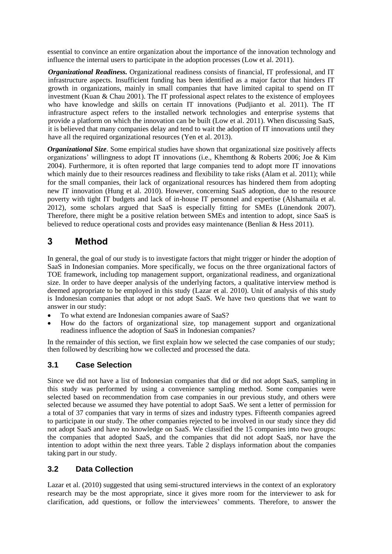essential to convince an entire organization about the importance of the innovation technology and influence the internal users to participate in the adoption processes (Low et al. 2011).

*Organizational Readiness.* Organizational readiness consists of financial, IT professional, and IT infrastructure aspects. Insufficient funding has been identified as a major factor that hinders IT growth in organizations, mainly in small companies that have limited capital to spend on IT investment (Kuan & Chau 2001). The IT professional aspect relates to the existence of employees who have knowledge and skills on certain IT innovations (Pudjianto et al. 2011). The IT infrastructure aspect refers to the installed network technologies and enterprise systems that provide a platform on which the innovation can be built (Low et al. 2011). When discussing SaaS, it is believed that many companies delay and tend to wait the adoption of IT innovations until they have all the required organizational resources (Yen et al. 2013).

*Organizational Size*. Some empirical studies have shown that organizational size positively affects organizations' willingness to adopt IT innovations (i.e., Khemthong & Roberts 2006; Joe & Kim 2004). Furthermore, it is often reported that large companies tend to adopt more IT innovations which mainly due to their resources readiness and flexibility to take risks (Alam et al. 2011); while for the small companies, their lack of organizational resources has hindered them from adopting new IT innovation (Hung et al. 2010). However, concerning SaaS adoption, due to the resource poverty with tight IT budgets and lack of in-house IT personnel and expertise (Alshamaila et al. 2012), some scholars argued that SaaS is especially fitting for SMEs (Lünendonk 2007). Therefore, there might be a positive relation between SMEs and intention to adopt, since SaaS is believed to reduce operational costs and provides easy maintenance (Benlian & Hess 2011).

## **3 Method**

In general, the goal of our study is to investigate factors that might trigger or hinder the adoption of SaaS in Indonesian companies. More specifically, we focus on the three organizational factors of TOE framework, including top management support, organizational readiness, and organizational size. In order to have deeper analysis of the underlying factors, a qualitative interview method is deemed appropriate to be employed in this study (Lazar et al. 2010). Unit of analysis of this study is Indonesian companies that adopt or not adopt SaaS. We have two questions that we want to answer in our study:

- To what extend are Indonesian companies aware of SaaS?
- How do the factors of organizational size, top management support and organizational readiness influence the adoption of SaaS in Indonesian companies?

In the remainder of this section, we first explain how we selected the case companies of our study; then followed by describing how we collected and processed the data.

#### **3.1 Case Selection**

Since we did not have a list of Indonesian companies that did or did not adopt SaaS, sampling in this study was performed by using a convenience sampling method. Some companies were selected based on recommendation from case companies in our previous study, and others were selected because we assumed they have potential to adopt SaaS. We sent a letter of permission for a total of 37 companies that vary in terms of sizes and industry types. Fifteenth companies agreed to participate in our study. The other companies rejected to be involved in our study since they did not adopt SaaS and have no knowledge on SaaS. We classified the 15 companies into two groups: the companies that adopted SaaS, and the companies that did not adopt SaaS, nor have the intention to adopt within the next three years. Table 2 displays information about the companies taking part in our study.

#### **3.2 Data Collection**

Lazar et al. (2010) suggested that using semi-structured interviews in the context of an exploratory research may be the most appropriate, since it gives more room for the interviewer to ask for clarification, add questions, or follow the interviewees' comments. Therefore, to answer the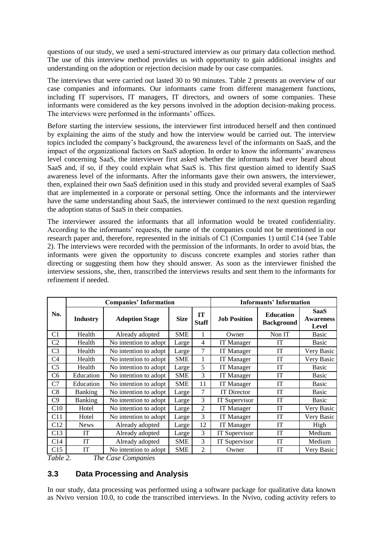questions of our study, we used a semi-structured interview as our primary data collection method. The use of this interview method provides us with opportunity to gain additional insights and understanding on the adoption or rejection decision made by our case companies.

The interviews that were carried out lasted 30 to 90 minutes. Table 2 presents an overview of our case companies and informants. Our informants came from different management functions, including IT supervisors, IT managers, IT directors, and owners of some companies. These informants were considered as the key persons involved in the adoption decision-making process. The interviews were performed in the informants' offices.

Before starting the interview sessions, the interviewer first introduced herself and then continued by explaining the aims of the study and how the interview would be carried out. The interview topics included the company's background, the awareness level of the informants on SaaS, and the impact of the organizational factors on SaaS adoption. In order to know the informants' awareness level concerning SaaS, the interviewer first asked whether the informants had ever heard about SaaS and, if so, if they could explain what SaaS is. This first question aimed to identify SaaS awareness level of the informants. After the informants gave their own answers, the interviewer, then, explained their own SaaS definition used in this study and provided several examples of SaaS that are implemented in a corporate or personal setting. Once the informants and the interviewer have the same understanding about SaaS, the interviewer continued to the next question regarding the adoption status of SaaS in their companies.

The interviewer assured the informants that all information would be treated confidentiality. According to the informants' requests, the name of the companies could not be mentioned in our research paper and, therefore, represented in the initials of C1 (Companies 1) until C14 (see Table 2). The interviews were recorded with the permission of the informants. In order to avoid bias, the informants were given the opportunity to discuss concrete examples and stories rather than directing or suggesting them how they should answer. As soon as the interviewer finished the interview sessions, she, then, transcribed the interviews results and sent them to the informants for refinement if needed.

|                 |                 | <b>Companies' Information</b> | <b>Informants' Information</b> |                    |                      |                                       |                                          |
|-----------------|-----------------|-------------------------------|--------------------------------|--------------------|----------------------|---------------------------------------|------------------------------------------|
| No.             | <b>Industry</b> | <b>Adoption Stage</b>         | <b>Size</b>                    | IT<br><b>Staff</b> | <b>Job Position</b>  | <b>Education</b><br><b>Background</b> | <b>SaaS</b><br><b>Awareness</b><br>Level |
| C1              | Health          | Already adopted               | SME                            | 1                  | Owner                | Non IT                                | <b>Basic</b>                             |
| C <sub>2</sub>  | Health          | No intention to adopt         | Large                          | 4                  | IT Manager           | IT                                    | <b>Basic</b>                             |
| C <sub>3</sub>  | Health          | No intention to adopt         | Large                          | 7                  | <b>IT</b> Manager    | IT                                    | Very Basic                               |
| C <sub>4</sub>  | Health          | No intention to adopt         | <b>SME</b>                     | 1                  | <b>IT</b> Manager    | IT                                    | Very Basic                               |
| C <sub>5</sub>  | Health          | No intention to adopt         | Large                          | 5                  | IT Manager           | IT                                    | Basic                                    |
| C6              | Education       | No intention to adopt         | SME                            | 3                  | IT Manager           | IT                                    | <b>Basic</b>                             |
| C7              | Education       | No intention to adopt         | <b>SME</b>                     | 11                 | <b>IT Manager</b>    | IT                                    | <b>Basic</b>                             |
| C8              | <b>Banking</b>  | No intention to adopt         | Large                          | 7                  | <b>IT Director</b>   | IT                                    | <b>Basic</b>                             |
| C9              | <b>Banking</b>  | No intention to adopt         | Large                          | 3                  | <b>IT Supervisor</b> | IT                                    | Basic                                    |
| C10             | Hotel           | No intention to adopt         | Large                          | 2                  | <b>IT</b> Manager    | IT                                    | Very Basic                               |
| C <sub>11</sub> | Hotel           | No intention to adopt         | Large                          | 3                  | IT Manager           | IT                                    | Very Basic                               |
| C12             | <b>News</b>     | Already adopted               | Large                          | 12                 | IT Manager           | IT                                    | High                                     |
| C13             | IT              | Already adopted               | Large                          | 3                  | <b>IT Supervisor</b> | IT                                    | Medium                                   |
| C <sub>14</sub> | IT              | Already adopted               | <b>SME</b>                     | 3                  | <b>IT Supervisor</b> | IT                                    | Medium                                   |
| C15<br>-- - -   | IT              | No intention to adopt         | <b>SME</b>                     | 2                  | Owner                | IT                                    | Very Basic                               |

*Table 2. The Case Companies*

#### **3.3 Data Processing and Analysis**

In our study, data processing was performed using a software package for qualitative data known as Nvivo version 10.0, to code the transcribed interviews. In the Nvivo, coding activity refers to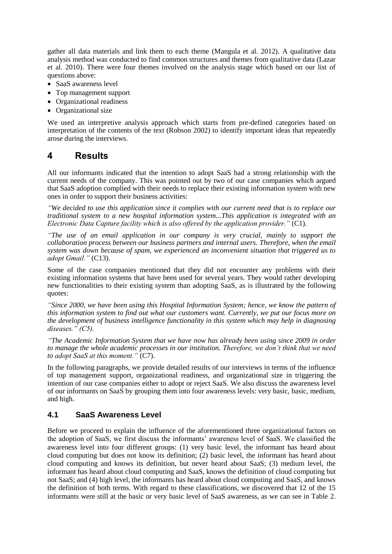gather all data materials and link them to each theme (Mangula et al. 2012). A qualitative data analysis method was conducted to find common structures and themes from qualitative data (Lazar et al. 2010). There were four themes involved on the analysis stage which based on our list of questions above:

- SaaS awareness level
- Top management support
- Organizational readiness
- Organizational size

We used an interpretive analysis approach which starts from pre-defined categories based on interpretation of the contents of the text (Robson 2002) to identify important ideas that repeatedly arose during the interviews.

### **4 Results**

All our informants indicated that the intention to adopt SaaS had a strong relationship with the current needs of the company. This was pointed out by two of our case companies which argued that SaaS adoption complied with their needs to replace their existing information system with new ones in order to support their business activities:

*"We decided to use this application since it complies with our current need that is to replace our traditional system to a new hospital information system...This application is integrated with an Electronic Data Capture facility which is also offered by the application provider."* (C1).

*"The use of an email application in our company is very crucial, mainly to support the collaboration process between our business partners and internal users. Therefore, when the email system was down because of spam, we experienced an inconvenient situation that triggered us to adopt Gmail."* (C13).

Some of the case companies mentioned that they did not encounter any problems with their existing information systems that have been used for several years. They would rather developing new functionalities to their existing system than adopting SaaS, as is illustrated by the following quotes:

*"Since 2000, we have been using this Hospital Information System; hence, we know the pattern of this information system to find out what our customers want. Currently, we put our focus more on the development of business intelligence functionality in this system which may help in diagnosing diseases." (C5).*

*"The Academic Information System that we have now has already been using since 2009 in order to manage the whole academic processes in our institution. Therefore, we don't think that we need to adopt SaaS at this moment."* (C7).

In the following paragraphs, we provide detailed results of our interviews in terms of the influence of top management support, organizational readiness, and organizational size in triggering the intention of our case companies either to adopt or reject SaaS. We also discuss the awareness level of our informants on SaaS by grouping them into four awareness levels: very basic, basic, medium, and high.

#### **4.1 SaaS Awareness Level**

Before we proceed to explain the influence of the aforementioned three organizational factors on the adoption of SaaS, we first discuss the informants' awareness level of SaaS. We classified the awareness level into four different groups: (1) very basic level, the informant has heard about cloud computing but does not know its definition; (2) basic level, the informant has heard about cloud computing and knows its definition, but never heard about SaaS; (3) medium level, the informant has heard about cloud computing and SaaS, knows the definition of cloud computing but not SaaS; and (4) high level, the informants has heard about cloud computing and SaaS, and knows the definition of both terms. With regard to these classifications, we discovered that 12 of the 15 informants were still at the basic or very basic level of SaaS awareness, as we can see in Table 2.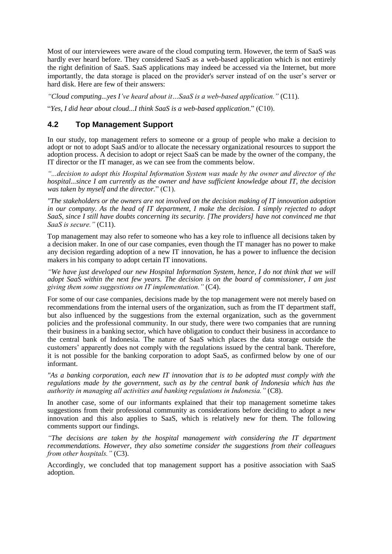Most of our interviewees were aware of the cloud computing term. However, the term of SaaS was hardly ever heard before. They considered SaaS as a web-based application which is not entirely the right definition of SaaS. SaaS applications may indeed be accessed via the Internet, but more importantly, the data storage is placed on the provider's server instead of on the user's server or hard disk. Here are few of their answers:

*"Cloud computing...yes I've heard about it…SaaS is a web-based application."* (C11).

"*Yes, I did hear about cloud...I think SaaS is a web-based application*." (C10).

#### **4.2 Top Management Support**

In our study, top management refers to someone or a group of people who make a decision to adopt or not to adopt SaaS and/or to allocate the necessary organizational resources to support the adoption process. A decision to adopt or reject SaaS can be made by the owner of the company, the IT director or the IT manager, as we can see from the comments below.

*"...decision to adopt this Hospital Information System was made by the owner and director of the hospital...since I am currently as the owner and have sufficient knowledge about IT, the decision was taken by myself and the director.*" (C1).

*"The stakeholders or the owners are not involved on the decision making of IT innovation adoption in our company. As the head of IT department, I make the decision. I simply rejected to adopt SaaS, since I still have doubts concerning its security. [The providers] have not convinced me that SaaS is secure."* (C11).

Top management may also refer to someone who has a key role to influence all decisions taken by a decision maker. In one of our case companies, even though the IT manager has no power to make any decision regarding adoption of a new IT innovation, he has a power to influence the decision makers in his company to adopt certain IT innovations.

*"We have just developed our new Hospital Information System, hence, I do not think that we will adopt SaaS within the next few years. The decision is on the board of commissioner, I am just giving them some suggestions on IT implementation."* (C4).

For some of our case companies, decisions made by the top management were not merely based on recommendations from the internal users of the organization, such as from the IT department staff, but also influenced by the suggestions from the external organization, such as the government policies and the professional community. In our study, there were two companies that are running their business in a banking sector, which have obligation to conduct their business in accordance to the central bank of Indonesia. The nature of SaaS which places the data storage outside the customers' apparently does not comply with the regulations issued by the central bank. Therefore, it is not possible for the banking corporation to adopt SaaS, as confirmed below by one of our informant.

*"As a banking corporation, each new IT innovation that is to be adopted must comply with the regulations made by the government, such as by the central bank of Indonesia which has the authority in managing all activities and banking regulations in Indonesia."* (C8).

In another case, some of our informants explained that their top management sometime takes suggestions from their professional community as considerations before deciding to adopt a new innovation and this also applies to SaaS, which is relatively new for them. The following comments support our findings.

*"The decisions are taken by the hospital management with considering the IT department recommendations. However, they also sometime consider the suggestions from their colleagues from other hospitals."* (C3).

Accordingly, we concluded that top management support has a positive association with SaaS adoption.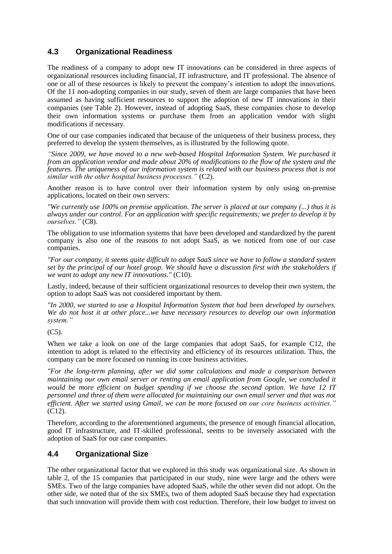#### **4.3 Organizational Readiness**

The readiness of a company to adopt new IT innovations can be considered in three aspects of organizational resources including financial, IT infrastructure, and IT professional. The absence of one or all of these resources is likely to prevent the company's intention to adopt the innovations. Of the 11 non-adopting companies in our study, seven of them are large companies that have been assumed as having sufficient resources to support the adoption of new IT innovations in their companies (see Table 2). However, instead of adopting SaaS, these companies chose to develop their own information systems or purchase them from an application vendor with slight modifications if necessary.

One of our case companies indicated that because of the uniqueness of their business process, they preferred to develop the system themselves, as is illustrated by the following quote.

*"Since 2009, we have moved to a new web-based Hospital Information System. We purchased it from an application vendor and made about 20% of modifications to the flow of the system and the features. The uniqueness of our information system is related with our business process that is not similar with the other hospital business processes."* (C2).

Another reason is to have control over their information system by only using on-premise applications, located on their own servers:

*"We currently use 100% on premise application. The server is placed at our company (...) thus it is always under our control. For an application with specific requirements; we prefer to develop it by ourselves."* (C8).

The obligation to use information systems that have been developed and standardized by the parent company is also one of the reasons to not adopt SaaS, as we noticed from one of our case companies.

*"For our company, it seems quite difficult to adopt SaaS since we have to follow a standard system set by the principal of our hotel group. We should have a discussion first with the stakeholders if we want to adopt any new IT innovations."* (C10).

Lastly, indeed, because of their sufficient organizational resources to develop their own system, the option to adopt SaaS was not considered important by them.

*"In 2000, we started to use a Hospital Information System that had been developed by ourselves. We do not host it at other place...we have necessary resources to develop our own information system."*

(C5).

When we take a look on one of the large companies that adopt SaaS, for example C12, the intention to adopt is related to the effectivity and efficiency of its resources utilization. Thus, the company can be more focused on running its core business activities.

*"For the long-term planning, after we did some calculations and made a comparison between maintaining our own email server or renting an email application from Google, we concluded it would be more efficient on budget spending if we choose the second option. We have 12 IT personnel and three of them were allocated for maintaining our own email server and that was not efficient. After we started using Gmail, we can be more focused on our core business activities."*  (C12).

Therefore, according to the aforementioned arguments, the presence of enough financial allocation, good IT infrastructure, and IT-skilled professional, seems to be inversely associated with the adoption of SaaS for our case companies.

#### **4.4 Organizational Size**

The other organizational factor that we explored in this study was organizational size. As shown in table 2, of the 15 companies that participated in our study, nine were large and the others were SMEs. Two of the large companies have adopted SaaS, while the other seven did not adopt. On the other side, we noted that of the six SMEs, two of them adopted SaaS because they had expectation that such innovation will provide them with cost reduction. Therefore, their low budget to invest on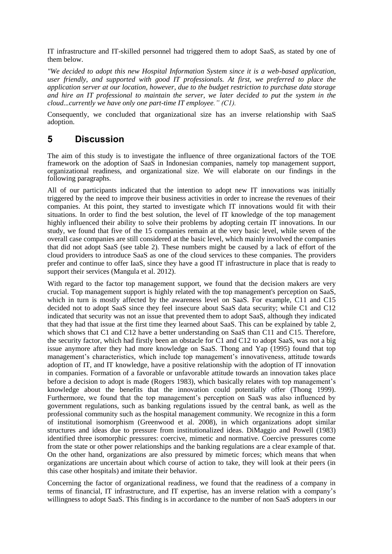IT infrastructure and IT-skilled personnel had triggered them to adopt SaaS, as stated by one of them below.

*"We decided to adopt this new Hospital Information System since it is a web-based application, user friendly, and supported with good IT professionals. At first, we preferred to place the application server at our location, however, due to the budget restriction to purchase data storage and hire an IT professional to maintain the server, we later decided to put the system in the cloud...currently we have only one part-time IT employee." (C1).*

Consequently, we concluded that organizational size has an inverse relationship with SaaS adoption.

## **5 Discussion**

The aim of this study is to investigate the influence of three organizational factors of the TOE framework on the adoption of SaaS in Indonesian companies, namely top management support, organizational readiness, and organizational size. We will elaborate on our findings in the following paragraphs.

All of our participants indicated that the intention to adopt new IT innovations was initially triggered by the need to improve their business activities in order to increase the revenues of their companies. At this point, they started to investigate which IT innovations would fit with their situations. In order to find the best solution, the level of IT knowledge of the top management highly influenced their ability to solve their problems by adopting certain IT innovations. In our study, we found that five of the 15 companies remain at the very basic level, while seven of the overall case companies are still considered at the basic level, which mainly involved the companies that did not adopt SaaS (see table 2). These numbers might be caused by a lack of effort of the cloud providers to introduce SaaS as one of the cloud services to these companies. The providers prefer and continue to offer IaaS, since they have a good IT infrastructure in place that is ready to support their services (Mangula et al. 2012).

With regard to the factor top management support, we found that the decision makers are very crucial. Top management support is highly related with the top management's perception on SaaS, which in turn is mostly affected by the awareness level on SaaS. For example, C11 and C15 decided not to adopt SaaS since they feel insecure about SaaS data security; while C1 and C12 indicated that security was not an issue that prevented them to adopt SaaS, although they indicated that they had that issue at the first time they learned about SaaS. This can be explained by table 2, which shows that C1 and C12 have a better understanding on SaaS than C11 and C15. Therefore, the security factor, which had firstly been an obstacle for C1 and C12 to adopt SaaS, was not a big issue anymore after they had more knowledge on SaaS. Thong and Yap (1995) found that top management's characteristics, which include top management's innovativeness, attitude towards adoption of IT, and IT knowledge, have a positive relationship with the adoption of IT innovation in companies. Formation of a favorable or unfavorable attitude towards an innovation takes place before a decision to adopt is made (Rogers 1983), which basically relates with top management's knowledge about the benefits that the innovation could potentially offer (Thong 1999). Furthermore, we found that the top management's perception on SaaS was also influenced by government regulations, such as banking regulations issued by the central bank, as well as the professional community such as the hospital management community. We recognize in this a form of institutional isomorphism (Greenwood et al. 2008), in which organizations adopt similar structures and ideas due to pressure from institutionalized ideas. DiMaggio and Powell (1983) identified three isomorphic pressures: coercive, mimetic and normative. Coercive pressures come from the state or other power relationships and the banking regulations are a clear example of that. On the other hand, organizations are also pressured by mimetic forces; which means that when organizations are uncertain about which course of action to take, they will look at their peers (in this case other hospitals) and imitate their behavior.

Concerning the factor of organizational readiness, we found that the readiness of a company in terms of financial, IT infrastructure, and IT expertise, has an inverse relation with a company's willingness to adopt SaaS. This finding is in accordance to the number of non SaaS adopters in our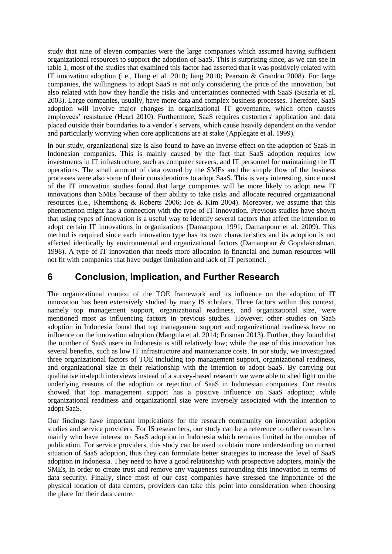study that nine of eleven companies were the large companies which assumed having sufficient organizational resources to support the adoption of SaaS. This is surprising since, as we can see in table 1, most of the studies that examined this factor had asserted that it was positively related with IT innovation adoption (i.e., Hung et al. 2010; Jang 2010; Pearson & Grandon 2008). For large companies, the willingness to adopt SaaS is not only considering the price of the innovation, but also related with how they handle the risks and uncertainties connected with SaaS (Susarla et al. 2003). Large companies, usually, have more data and complex business processes. Therefore, SaaS adoption will involve major changes in organizational IT governance, which often causes employees' resistance (Heart 2010). Furthermore, SaaS requires customers' application and data placed outside their boundaries to a vendor's servers, which cause heavily dependent on the vendor and particularly worrying when core applications are at stake (Applegate et al. 1999).

In our study, organizational size is also found to have an inverse effect on the adoption of SaaS in Indonesian companies. This is mainly caused by the fact that SaaS adoption requires low investments in IT infrastructure, such as computer servers, and IT personnel for maintaining the IT operations. The small amount of data owned by the SMEs and the simple flow of the business processes were also some of their considerations to adopt SaaS. This is very interesting, since most of the IT innovation studies found that large companies will be more likely to adopt new IT innovations than SMEs because of their ability to take risks and allocate required organizational resources (i.e., Khemthong & Roberts 2006; Joe & Kim 2004). Moreover, we assume that this phenomenon might has a connection with the type of IT innovation. Previous studies have shown that using types of innovation is a useful way to identify several factors that affect the intention to adopt certain IT innovations in organizations (Damanpour 1991; Damanpour et al. 2009). This method is required since each innovation type has its own characteristics and its adoption is not affected identically by environmental and organizational factors (Damanpour & Gopalakrishnan, 1998). A type of IT innovation that needs more allocation in financial and human resources will not fit with companies that have budget limitation and lack of IT personnel.

## **6 Conclusion, Implication, and Further Research**

The organizational context of the TOE framework and its influence on the adoption of IT innovation has been extensively studied by many IS scholars. Three factors within this context, namely top management support, organizational readiness, and organizational size, were mentioned most as influencing factors in previous studies. However, other studies on SaaS adoption in Indonesia found that top management support and organizational readiness have no influence on the innovation adoption (Mangula et al. 2014; Erisman 2013). Further, they found that the number of SaaS users in Indonesia is still relatively low; while the use of this innovation has several benefits, such as low IT infrastructure and maintenance costs. In our study, we investigated three organizational factors of TOE including top management support, organizational readiness, and organizational size in their relationship with the intention to adopt SaaS. By carrying out qualitative in-depth interviews instead of a survey-based research we were able to shed light on the underlying reasons of the adoption or rejection of SaaS in Indonesian companies. Our results showed that top management support has a positive influence on SaaS adoption; while organizational readiness and organizational size were inversely associated with the intention to adopt SaaS.

Our findings have important implications for the research community on innovation adoption studies and service providers. For IS researchers, our study can be a reference to other researchers mainly who have interest on SaaS adoption in Indonesia which remains limited in the number of publication. For service providers, this study can be used to obtain more understanding on current situation of SaaS adoption, thus they can formulate better strategies to increase the level of SaaS adoption in Indonesia. They need to have a good relationship with prospective adopters, mainly the SMEs, in order to create trust and remove any vagueness surrounding this innovation in terms of data security. Finally, since most of our case companies have stressed the importance of the physical location of data centers, providers can take this point into consideration when choosing the place for their data centre.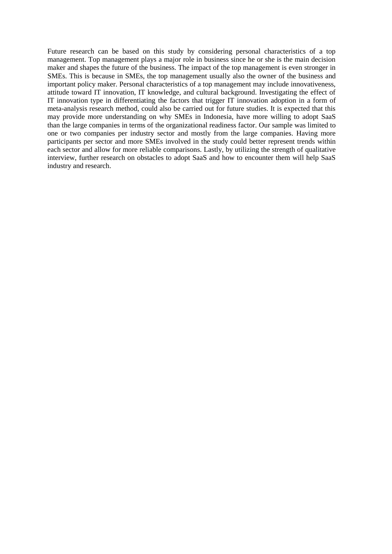Future research can be based on this study by considering personal characteristics of a top management. Top management plays a major role in business since he or she is the main decision maker and shapes the future of the business. The impact of the top management is even stronger in SMEs. This is because in SMEs, the top management usually also the owner of the business and important policy maker. Personal characteristics of a top management may include innovativeness, attitude toward IT innovation, IT knowledge, and cultural background. Investigating the effect of IT innovation type in differentiating the factors that trigger IT innovation adoption in a form of meta-analysis research method, could also be carried out for future studies. It is expected that this may provide more understanding on why SMEs in Indonesia, have more willing to adopt SaaS than the large companies in terms of the organizational readiness factor. Our sample was limited to one or two companies per industry sector and mostly from the large companies. Having more participants per sector and more SMEs involved in the study could better represent trends within each sector and allow for more reliable comparisons. Lastly, by utilizing the strength of qualitative interview, further research on obstacles to adopt SaaS and how to encounter them will help SaaS industry and research.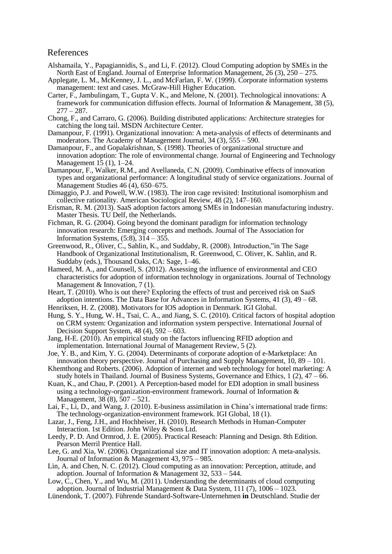#### References

- Alshamaila, Y., Papagiannidis, S., and Li, F. (2012). Cloud Computing adoption by SMEs in the North East of England. Journal of Enterprise Information Management, 26 (3), 250 – 275.
- Applegate, L. M., McKenney, J. L., and McFarlan, F. W. (1999). Corporate information systems management: text and cases. McGraw-Hill Higher Education.
- Carter, F., Jambulingam, T., Gupta V. K., and Melone, N. (2001). Technological innovations: A framework for communication diffusion effects. Journal of Information & Management, 38 (5),  $277 - 287.$
- Chong, F., and Carraro, G. (2006). Building distributed applications: Architecture strategies for catching the long tail. MSDN Architecture Center.
- Damanpour, F. (1991). Organizational innovation: A meta-analysis of effects of determinants and moderators. The Academy of Management Journal, 34 (3), 555 – 590.
- Damanpour, F., and Gopalakrishnan, S. (1998). Theories of organizational structure and innovation adoption: The role of environmental change*.* Journal of Engineering and Technology Management  $15(1)$ , 1–24.
- Damanpour, F., Walker, R.M., and Avellaneda, C.N. (2009). Combinative effects of innovation types and organizational performance: A longitudinal study of service organizations. Journal of Management Studies 46 (4), 650–675.
- Dimaggio, P.J. and Powell, W.W. (1983). The iron cage revisited: Institutional isomorphism and collective rationality. American Sociological Review, 48 (2), 147–160.
- Erisman, R. M. (2013). SaaS adoption factors among SMEs in Indonesian manufacturing industry. Master Thesis. TU Delf, the Netherlands.
- Fichman, R. G. (2004). Going beyond the dominant paradigm for information technology innovation research: Emerging concepts and methods. Journal of The Association for Information Systems, (5:8), 314 – 355.
- Greenwood, R., Oliver, C., Sahlin, K., and Suddaby, R. (2008). Introduction,"in The Sage Handbook of Organizational Institutionalism, R. Greenwood, C. Oliver, K. Sahlin, and R. Suddaby (eds.), Thousand Oaks, CA: Sage, 1–46.
- Hameed, M. A., and Counsell, S. (2012). Assessing the influence of environmental and CEO characteristics for adoption of information technology in organizations. Journal of Technology Management & Innovation, 7(1).
- Heart, T. (2010). Who is out there? Exploring the effects of trust and perceived risk on SaaS adoption intentions. The Data Base for Advances in Information Systems,  $41$  (3),  $49 - 68$ .
- Henriksen, H. Z. (2008). Motivators for IOS adoption in Denmark. IGI Global.
- Hung, S. Y., Hung, W. H., Tsai, C. A., and Jiang, S. C. (2010). Critical factors of hospital adoption on CRM system: Organization and information system perspective. International Journal of Decision Support System,  $48(4)$ ,  $592 - 603$ .
- Jang, H-E. (2010). An empirical study on the factors influencing RFID adoption and implementation. International Journal of Management Review, 5 (2).
- Joe, Y. B., and Kim, Y. G. (2004). Determinants of corporate adoption of e-Marketplace: An innovation theory perspective. Journal of Purchasing and Supply Management, 10, 89 – 101.
- Khemthong and Roberts. (2006). Adoption of internet and web technology for hotel marketing: A study hotels in Thailand. Journal of Business Systems, Governance and Ethics, 1 (2), 47 – 66.
- Kuan, K., and Chau, P. (2001). A Perception-based model for EDI adoption in small business using a technology-organization-environment framework. Journal of Information & Management, 38 (8), 507 – 521.
- Lai, F., Li, D., and Wang, J. (2010). E-business assimilation in China's international trade firms: The technology-organization-environment framework. IGI Global, 18 (1).
- Lazar, J., Feng, J.H., and Hochheiser, H. (2010). Research Methods in Human-Computer Interaction. 1st Edition. John Wiley & Sons Ltd.
- Leedy, P. D. And Ormrod, J. E. (2005). Practical Reseach: Planning and Design. 8th Edition. Pearson Merril Prentice Hall.
- Lee, G. and Xia, W. (2006). Organizational size and IT innovation adoption: A meta-analysis. Journal of Information & Management 43, 975 – 985.
- Lin, A. and Chen, N. C. (2012). Cloud computing as an innovation: Perception, attitude, and adoption. Journal of Information & Management 32, 533 – 544.
- Low, C., Chen, Y., and Wu, M. (2011). Understanding the determinants of cloud computing adoption. Journal of Industrial Management & Data System, 111 (7), 1006 – 1023.
- Lünendonk, T. (2007). Führende Standard**-**Software**-**Unternehmen **in** Deutschland. Studie der